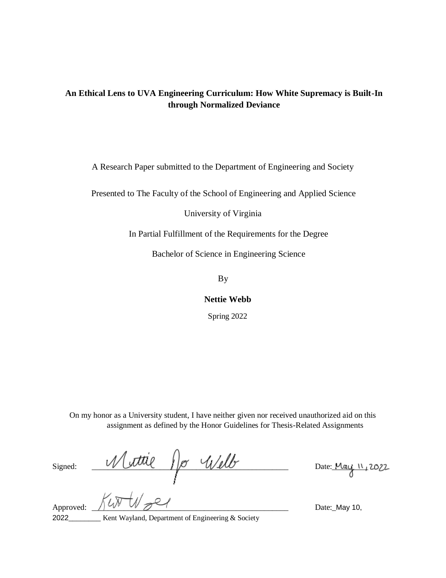# **An Ethical Lens to UVA Engineering Curriculum: How White Supremacy is Built-In through Normalized Deviance**

A Research Paper submitted to the Department of Engineering and Society

Presented to The Faculty of the School of Engineering and Applied Science

University of Virginia

In Partial Fulfillment of the Requirements for the Degree

Bachelor of Science in Engineering Science

By

**Nettie Webb** 

Spring 2022

On my honor as a University student, I have neither given nor received unauthorized aid on this assignment as defined by the Honor Guidelines for Thesis-Related Assignments

 $Signed:$   $Múttię$  / or  $Well$ 

Approved:  $\bigwedge_{\mathcal{U}}\bigvee_{\mathcal{U}}\bigvee_{\mathcal{U}}\bigvee_{\mathcal{U}}\bigvee_{\mathcal{U}}\bigvee_{\mathcal{U}}\bigvee_{\mathcal{U}}\bigvee_{\mathcal{U}}\bigvee_{\mathcal{U}}\bigvee_{\mathcal{U}}\bigvee_{\mathcal{U}}\bigvee_{\mathcal{U}}\bigvee_{\mathcal{U}}\bigvee_{\mathcal{U}}\bigvee_{\mathcal{U}}\bigvee_{\mathcal{U}}\bigvee_{\mathcal{U}}\bigvee_{\mathcal{U}}\bigvee_{\mathcal{U}}\$ 2022 Kent Wayland, Department of Engineering & Society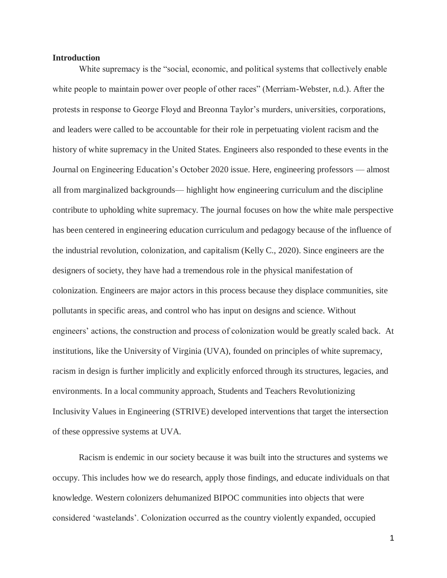#### **Introduction**

White supremacy is the "social, economic, and political systems that collectively enable white people to maintain power over people of other races" (Merriam-Webster, n.d.). After the protests in response to George Floyd and Breonna Taylor's murders, universities, corporations, and leaders were called to be accountable for their role in perpetuating violent racism and the history of white supremacy in the United States. Engineers also responded to these events in the Journal on Engineering Education's October 2020 issue. Here, engineering professors — almost all from marginalized backgrounds— highlight how engineering curriculum and the discipline contribute to upholding white supremacy. The journal focuses on how the white male perspective has been centered in engineering education curriculum and pedagogy because of the influence of the industrial revolution, colonization, and capitalism (Kelly C., 2020). Since engineers are the designers of society, they have had a tremendous role in the physical manifestation of colonization. Engineers are major actors in this process because they displace communities, site pollutants in specific areas, and control who has input on designs and science. Without engineers' actions, the construction and process of colonization would be greatly scaled back. At institutions, like the University of Virginia (UVA), founded on principles of white supremacy, racism in design is further implicitly and explicitly enforced through its structures, legacies, and environments. In a local community approach, Students and Teachers Revolutionizing Inclusivity Values in Engineering (STRIVE) developed interventions that target the intersection of these oppressive systems at UVA.

Racism is endemic in our society because it was built into the structures and systems we occupy. This includes how we do research, apply those findings, and educate individuals on that knowledge. Western colonizers dehumanized BIPOC communities into objects that were considered 'wastelands'. Colonization occurred as the country violently expanded, occupied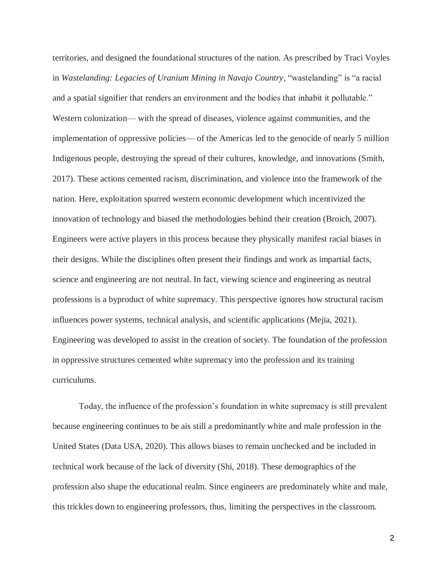territories, and designed the foundational structures of the nation. As prescribed by Traci Voyles in *Wastelanding: Legacies of Uranium Mining in Navajo Country*, "wastelanding" is "a racial and a spatial signifier that renders an environment and the bodies that inhabit it pollutable." Western colonization— with the spread of diseases, violence against communities, and the implementation of oppressive policies— of the Americas led to the genocide of nearly 5 million Indigenous people, destroying the spread of their cultures, knowledge, and innovations (Smith, 2017). These actions cemented racism, discrimination, and violence into the framework of the nation. Here, exploitation spurred western economic development which incentivized the innovation of technology and biased the methodologies behind their creation (Broich, 2007). Engineers were active players in this process because they physically manifest racial biases in their designs. While the disciplines often present their findings and work as impartial facts, science and engineering are not neutral. In fact, viewing science and engineering as neutral professions is a byproduct of white supremacy. This perspective ignores how structural racism influences power systems, technical analysis, and scientific applications (Mejia, 2021). Engineering was developed to assist in the creation of society. The foundation of the profession in oppressive structures cemented white supremacy into the profession and its training curriculums.

Today, the influence of the profession's foundation in white supremacy is still prevalent because engineering continues to be ais still a predominantly white and male profession in the United States (Data USA, 2020). This allows biases to remain unchecked and be included in technical work because of the lack of diversity (Shi, 2018). These demographics of the profession also shape the educational realm. Since engineers are predominately white and male, this trickles down to engineering professors, thus, limiting the perspectives in the classroom.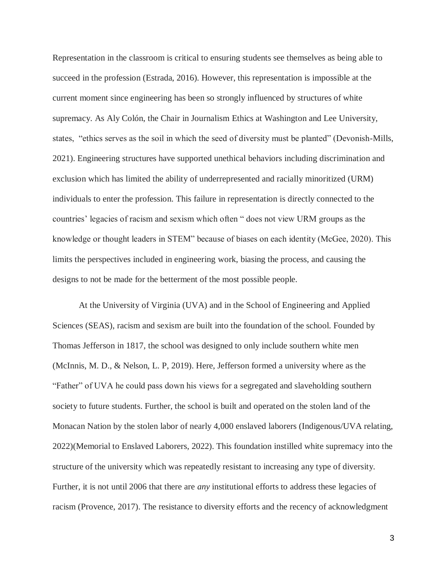Representation in the classroom is critical to ensuring students see themselves as being able to succeed in the profession (Estrada, 2016). However, this representation is impossible at the current moment since engineering has been so strongly influenced by structures of white supremacy. As Aly Colón, the Chair in Journalism Ethics at Washington and Lee University, states, "ethics serves as the soil in which the seed of diversity must be planted" (Devonish-Mills, 2021). Engineering structures have supported unethical behaviors including discrimination and exclusion which has limited the ability of underrepresented and racially minoritized (URM) individuals to enter the profession. This failure in representation is directly connected to the countries' legacies of racism and sexism which often " does not view URM groups as the knowledge or thought leaders in STEM" because of biases on each identity (McGee, 2020). This limits the perspectives included in engineering work, biasing the process, and causing the designs to not be made for the betterment of the most possible people.

At the University of Virginia (UVA) and in the School of Engineering and Applied Sciences (SEAS), racism and sexism are built into the foundation of the school. Founded by Thomas Jefferson in 1817, the school was designed to only include southern white men (McInnis, M. D., & Nelson, L. P, 2019). Here, Jefferson formed a university where as the "Father" of UVA he could pass down his views for a segregated and slaveholding southern society to future students. Further, the school is built and operated on the stolen land of the Monacan Nation by the stolen labor of nearly 4,000 enslaved laborers (Indigenous/UVA relating, 2022)(Memorial to Enslaved Laborers, 2022). This foundation instilled white supremacy into the structure of the university which was repeatedly resistant to increasing any type of diversity. Further, it is not until 2006 that there are *any* institutional efforts to address these legacies of racism (Provence, 2017). The resistance to diversity efforts and the recency of acknowledgment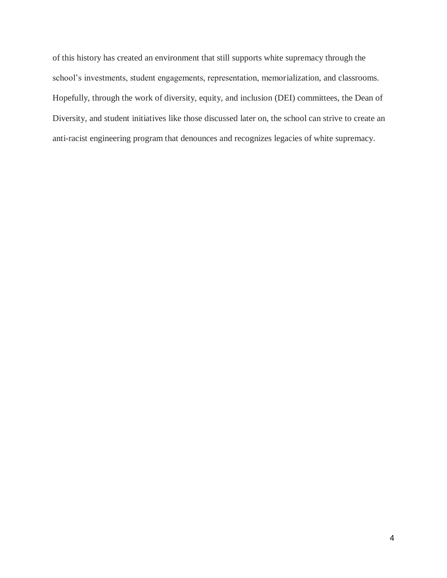of this history has created an environment that still supports white supremacy through the school's investments, student engagements, representation, memorialization, and classrooms. Hopefully, through the work of diversity, equity, and inclusion (DEI) committees, the Dean of Diversity, and student initiatives like those discussed later on, the school can strive to create an anti-racist engineering program that denounces and recognizes legacies of white supremacy.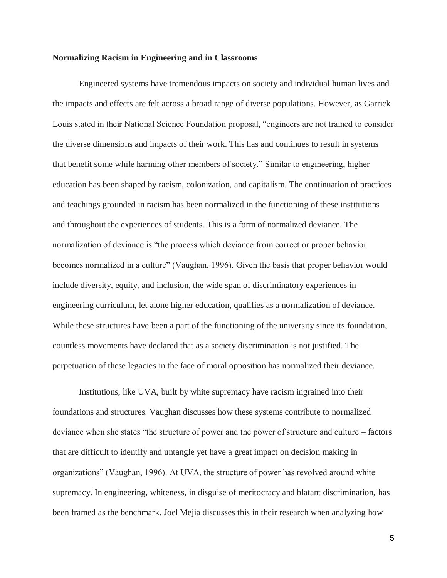#### **Normalizing Racism in Engineering and in Classrooms**

Engineered systems have tremendous impacts on society and individual human lives and the impacts and effects are felt across a broad range of diverse populations. However, as Garrick Louis stated in their National Science Foundation proposal, "engineers are not trained to consider the diverse dimensions and impacts of their work. This has and continues to result in systems that benefit some while harming other members of society." Similar to engineering, higher education has been shaped by racism, colonization, and capitalism. The continuation of practices and teachings grounded in racism has been normalized in the functioning of these institutions and throughout the experiences of students. This is a form of normalized deviance. The normalization of deviance is "the process which deviance from correct or proper behavior becomes normalized in a culture" (Vaughan, 1996). Given the basis that proper behavior would include diversity, equity, and inclusion, the wide span of discriminatory experiences in engineering curriculum, let alone higher education, qualifies as a normalization of deviance. While these structures have been a part of the functioning of the university since its foundation, countless movements have declared that as a society discrimination is not justified. The perpetuation of these legacies in the face of moral opposition has normalized their deviance.

Institutions, like UVA, built by white supremacy have racism ingrained into their foundations and structures. Vaughan discusses how these systems contribute to normalized deviance when she states "the structure of power and the power of structure and culture – factors that are difficult to identify and untangle yet have a great impact on decision making in organizations" (Vaughan, 1996). At UVA, the structure of power has revolved around white supremacy. In engineering, whiteness, in disguise of meritocracy and blatant discrimination, has been framed as the benchmark. Joel Mejia discusses this in their research when analyzing how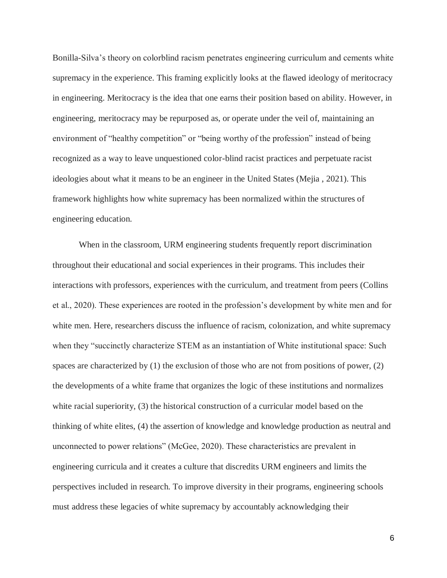Bonilla-Silva's theory on colorblind racism penetrates engineering curriculum and cements white supremacy in the experience. This framing explicitly looks at the flawed ideology of meritocracy in engineering. Meritocracy is the idea that one earns their position based on ability. However, in engineering, meritocracy may be repurposed as, or operate under the veil of, maintaining an environment of "healthy competition" or "being worthy of the profession" instead of being recognized as a way to leave unquestioned color-blind racist practices and perpetuate racist ideologies about what it means to be an engineer in the United States (Mejia , 2021). This framework highlights how white supremacy has been normalized within the structures of engineering education.

When in the classroom, URM engineering students frequently report discrimination throughout their educational and social experiences in their programs. This includes their interactions with professors, experiences with the curriculum, and treatment from peers (Collins et al., 2020). These experiences are rooted in the profession's development by white men and for white men. Here, researchers discuss the influence of racism, colonization, and white supremacy when they "succinctly characterize STEM as an instantiation of White institutional space: Such spaces are characterized by (1) the exclusion of those who are not from positions of power, (2) the developments of a white frame that organizes the logic of these institutions and normalizes white racial superiority, (3) the historical construction of a curricular model based on the thinking of white elites, (4) the assertion of knowledge and knowledge production as neutral and unconnected to power relations" (McGee, 2020). These characteristics are prevalent in engineering curricula and it creates a culture that discredits URM engineers and limits the perspectives included in research. To improve diversity in their programs, engineering schools must address these legacies of white supremacy by accountably acknowledging their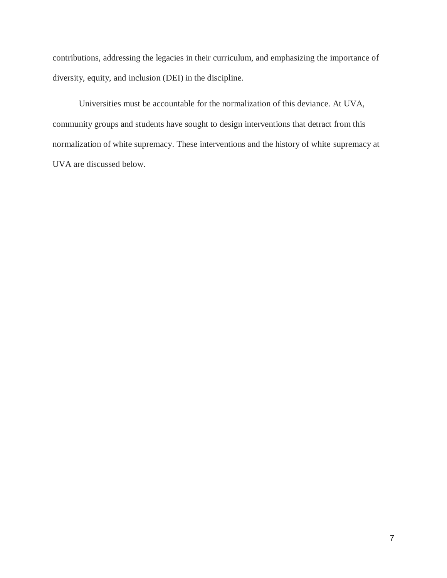contributions, addressing the legacies in their curriculum, and emphasizing the importance of diversity, equity, and inclusion (DEI) in the discipline.

Universities must be accountable for the normalization of this deviance. At UVA, community groups and students have sought to design interventions that detract from this normalization of white supremacy. These interventions and the history of white supremacy at UVA are discussed below.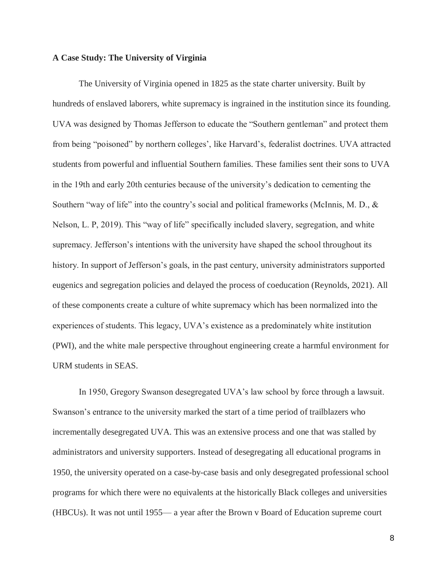#### **A Case Study: The University of Virginia**

The University of Virginia opened in 1825 as the state charter university. Built by hundreds of enslaved laborers, white supremacy is ingrained in the institution since its founding. UVA was designed by Thomas Jefferson to educate the "Southern gentleman" and protect them from being "poisoned" by northern colleges', like Harvard's, federalist doctrines. UVA attracted students from powerful and influential Southern families. These families sent their sons to UVA in the 19th and early 20th centuries because of the university's dedication to cementing the Southern "way of life" into the country's social and political frameworks (McInnis, M. D., & Nelson, L. P, 2019). This "way of life" specifically included slavery, segregation, and white supremacy. Jefferson's intentions with the university have shaped the school throughout its history. In support of Jefferson's goals, in the past century, university administrators supported eugenics and segregation policies and delayed the process of coeducation (Reynolds, 2021). All of these components create a culture of white supremacy which has been normalized into the experiences of students. This legacy, UVA's existence as a predominately white institution (PWI), and the white male perspective throughout engineering create a harmful environment for URM students in SEAS.

In 1950, Gregory Swanson desegregated UVA's law school by force through a lawsuit. Swanson's entrance to the university marked the start of a time period of trailblazers who incrementally desegregated UVA. This was an extensive process and one that was stalled by administrators and university supporters. Instead of desegregating all educational programs in 1950, the university operated on a case-by-case basis and only desegregated professional school programs for which there were no equivalents at the historically Black colleges and universities (HBCUs). It was not until 1955— a year after the Brown v Board of Education supreme court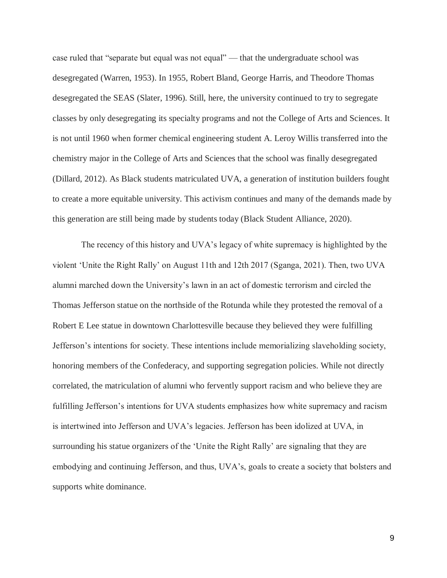case ruled that "separate but equal was not equal" — that the undergraduate school was desegregated (Warren, 1953). In 1955, Robert Bland, George Harris, and Theodore Thomas desegregated the SEAS (Slater, 1996). Still, here, the university continued to try to segregate classes by only desegregating its specialty programs and not the College of Arts and Sciences. It is not until 1960 when former chemical engineering student A. Leroy Willis transferred into the chemistry major in the College of Arts and Sciences that the school was finally desegregated (Dillard, 2012). As Black students matriculated UVA, a generation of institution builders fought to create a more equitable university. This activism continues and many of the demands made by this generation are still being made by students today (Black Student Alliance, 2020).

The recency of this history and UVA's legacy of white supremacy is highlighted by the violent 'Unite the Right Rally' on August 11th and 12th 2017 (Sganga, 2021). Then, two UVA alumni marched down the University's lawn in an act of domestic terrorism and circled the Thomas Jefferson statue on the northside of the Rotunda while they protested the removal of a Robert E Lee statue in downtown Charlottesville because they believed they were fulfilling Jefferson's intentions for society. These intentions include memorializing slaveholding society, honoring members of the Confederacy, and supporting segregation policies. While not directly correlated, the matriculation of alumni who fervently support racism and who believe they are fulfilling Jefferson's intentions for UVA students emphasizes how white supremacy and racism is intertwined into Jefferson and UVA's legacies. Jefferson has been idolized at UVA, in surrounding his statue organizers of the 'Unite the Right Rally' are signaling that they are embodying and continuing Jefferson, and thus, UVA's, goals to create a society that bolsters and supports white dominance.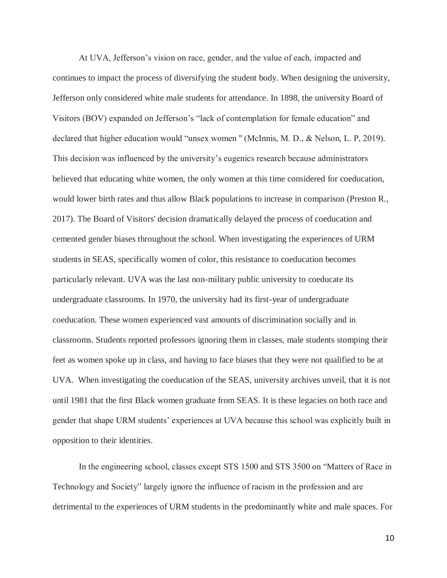At UVA, Jefferson's vision on race, gender, and the value of each, impacted and continues to impact the process of diversifying the student body. When designing the university, Jefferson only considered white male students for attendance. In 1898, the university Board of Visitors (BOV) expanded on Jefferson's "lack of contemplation for female education" and declared that higher education would "unsex women " (McInnis, M. D., & Nelson, L. P, 2019). This decision was influenced by the university's eugenics research because administrators believed that educating white women, the only women at this time considered for coeducation, would lower birth rates and thus allow Black populations to increase in comparison (Preston R., 2017). The Board of Visitors' decision dramatically delayed the process of coeducation and cemented gender biases throughout the school. When investigating the experiences of URM students in SEAS, specifically women of color, this resistance to coeducation becomes particularly relevant. UVA was the last non-military public university to coeducate its undergraduate classrooms. In 1970, the university had its first-year of undergraduate coeducation. These women experienced vast amounts of discrimination socially and in classrooms. Students reported professors ignoring them in classes, male students stomping their feet as women spoke up in class, and having to face biases that they were not qualified to be at UVA. When investigating the coeducation of the SEAS, university archives unveil, that it is not until 1981 that the first Black women graduate from SEAS. It is these legacies on both race and gender that shape URM students' experiences at UVA because this school was explicitly built in opposition to their identities.

In the engineering school, classes except STS 1500 and STS 3500 on "Matters of Race in Technology and Society" largely ignore the influence of racism in the profession and are detrimental to the experiences of URM students in the predominantly white and male spaces. For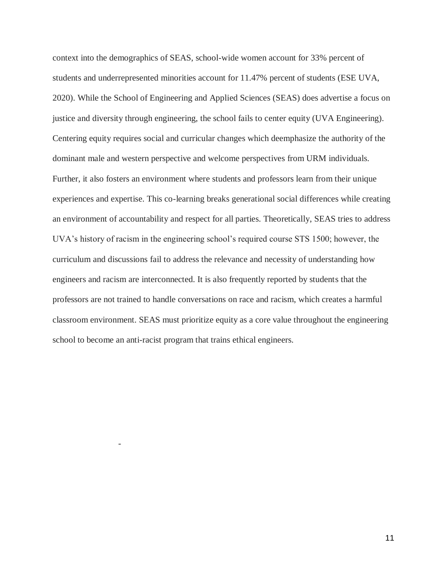context into the demographics of SEAS, school-wide women account for 33% percent of students and underrepresented minorities account for 11.47% percent of students (ESE UVA, 2020). While the School of Engineering and Applied Sciences (SEAS) does advertise a focus on justice and diversity through engineering, the school fails to center equity (UVA Engineering). Centering equity requires social and curricular changes which deemphasize the authority of the dominant male and western perspective and welcome perspectives from URM individuals. Further, it also fosters an environment where students and professors learn from their unique experiences and expertise. This co-learning breaks generational social differences while creating an environment of accountability and respect for all parties. Theoretically, SEAS tries to address UVA's history of racism in the engineering school's required course STS 1500; however, the curriculum and discussions fail to address the relevance and necessity of understanding how engineers and racism are interconnected. It is also frequently reported by students that the professors are not trained to handle conversations on race and racism, which creates a harmful classroom environment. SEAS must prioritize equity as a core value throughout the engineering school to become an anti-racist program that trains ethical engineers.

-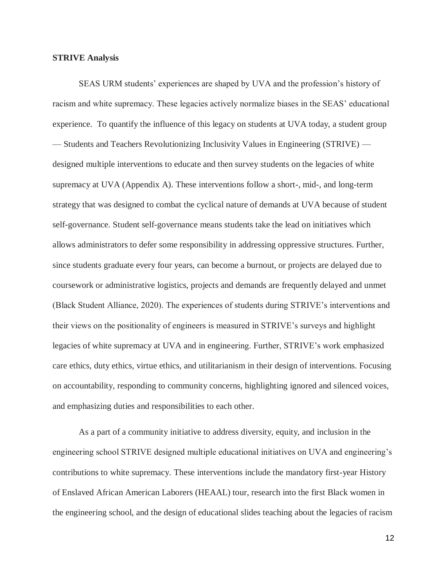### **STRIVE Analysis**

SEAS URM students' experiences are shaped by UVA and the profession's history of racism and white supremacy. These legacies actively normalize biases in the SEAS' educational experience. To quantify the influence of this legacy on students at UVA today, a student group — Students and Teachers Revolutionizing Inclusivity Values in Engineering (STRIVE) designed multiple interventions to educate and then survey students on the legacies of white supremacy at UVA (Appendix A). These interventions follow a short-, mid-, and long-term strategy that was designed to combat the cyclical nature of demands at UVA because of student self-governance. Student self-governance means students take the lead on initiatives which allows administrators to defer some responsibility in addressing oppressive structures. Further, since students graduate every four years, can become a burnout, or projects are delayed due to coursework or administrative logistics, projects and demands are frequently delayed and unmet (Black Student Alliance, 2020). The experiences of students during STRIVE's interventions and their views on the positionality of engineers is measured in STRIVE's surveys and highlight legacies of white supremacy at UVA and in engineering. Further, STRIVE's work emphasized care ethics, duty ethics, virtue ethics, and utilitarianism in their design of interventions. Focusing on accountability, responding to community concerns, highlighting ignored and silenced voices, and emphasizing duties and responsibilities to each other.

As a part of a community initiative to address diversity, equity, and inclusion in the engineering school STRIVE designed multiple educational initiatives on UVA and engineering's contributions to white supremacy. These interventions include the mandatory first-year History of Enslaved African American Laborers (HEAAL) tour, research into the first Black women in the engineering school, and the design of educational slides teaching about the legacies of racism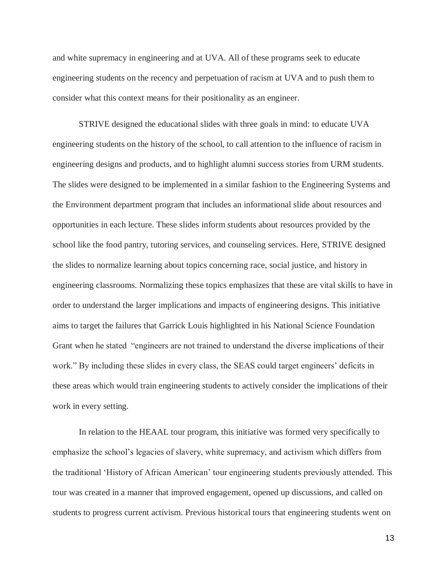and white supremacy in engineering and at UVA. All of these programs seek to educate engineering students on the recency and perpetuation of racism at UVA and to push them to consider what this context means for their positionality as an engineer.

STRIVE designed the educational slides with three goals in mind: to educate UVA engineering students on the history of the school, to call attention to the influence of racism in engineering designs and products, and to highlight alumni success stories from URM students. The slides were designed to be implemented in a similar fashion to the Engineering Systems and the Environment department program that includes an informational slide about resources and opportunities in each lecture. These slides inform students about resources provided by the school like the food pantry, tutoring services, and counseling services. Here, STRIVE designed the slides to normalize learning about topics concerning race, social justice, and history in engineering classrooms. Normalizing these topics emphasizes that these are vital skills to have in order to understand the larger implications and impacts of engineering designs. This initiative aims to target the failures that Garrick Louis highlighted in his National Science Foundation Grant when he stated "engineers are not trained to understand the diverse implications of their work." By including these slides in every class, the SEAS could target engineers' deficits in these areas which would train engineering students to actively consider the implications of their work in every setting.

In relation to the HEAAL tour program, this initiative was formed very specifically to emphasize the school's legacies of slavery, white supremacy, and activism which differs from the traditional 'History of African American' tour engineering students previously attended. This tour was created in a manner that improved engagement, opened up discussions, and called on students to progress current activism. Previous historical tours that engineering students went on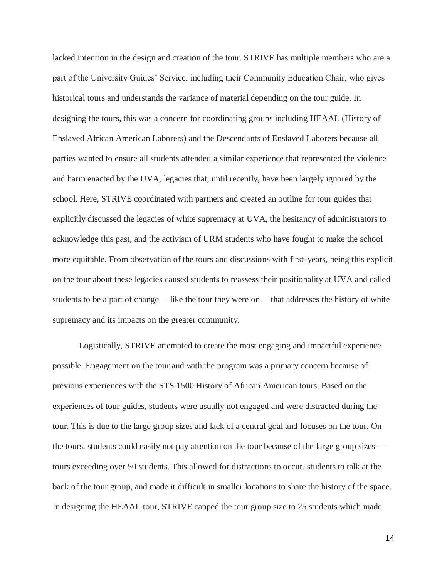lacked intention in the design and creation of the tour. STRIVE has multiple members who are a part of the University Guides' Service, including their Community Education Chair, who gives historical tours and understands the variance of material depending on the tour guide. In designing the tours, this was a concern for coordinating groups including HEAAL (History of Enslaved African American Laborers) and the Descendants of Enslaved Laborers because all parties wanted to ensure all students attended a similar experience that represented the violence and harm enacted by the UVA, legacies that, until recently, have been largely ignored by the school. Here, STRIVE coordinated with partners and created an outline for tour guides that explicitly discussed the legacies of white supremacy at UVA, the hesitancy of administrators to acknowledge this past, and the activism of URM students who have fought to make the school more equitable. From observation of the tours and discussions with first-years, being this explicit on the tour about these legacies caused students to reassess their positionality at UVA and called students to be a part of change— like the tour they were on— that addresses the history of white supremacy and its impacts on the greater community.

Logistically, STRIVE attempted to create the most engaging and impactful experience possible. Engagement on the tour and with the program was a primary concern because of previous experiences with the STS 1500 History of African American tours. Based on the experiences of tour guides, students were usually not engaged and were distracted during the tour. This is due to the large group sizes and lack of a central goal and focuses on the tour. On the tours, students could easily not pay attention on the tour because of the large group sizes tours exceeding over 50 students. This allowed for distractions to occur, students to talk at the back of the tour group, and made it difficult in smaller locations to share the history of the space. In designing the HEAAL tour, STRIVE capped the tour group size to 25 students which made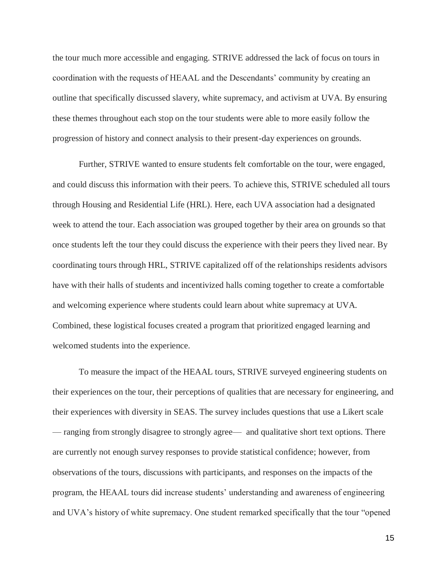the tour much more accessible and engaging. STRIVE addressed the lack of focus on tours in coordination with the requests of HEAAL and the Descendants' community by creating an outline that specifically discussed slavery, white supremacy, and activism at UVA. By ensuring these themes throughout each stop on the tour students were able to more easily follow the progression of history and connect analysis to their present-day experiences on grounds.

Further, STRIVE wanted to ensure students felt comfortable on the tour, were engaged, and could discuss this information with their peers. To achieve this, STRIVE scheduled all tours through Housing and Residential Life (HRL). Here, each UVA association had a designated week to attend the tour. Each association was grouped together by their area on grounds so that once students left the tour they could discuss the experience with their peers they lived near. By coordinating tours through HRL, STRIVE capitalized off of the relationships residents advisors have with their halls of students and incentivized halls coming together to create a comfortable and welcoming experience where students could learn about white supremacy at UVA. Combined, these logistical focuses created a program that prioritized engaged learning and welcomed students into the experience.

To measure the impact of the HEAAL tours, STRIVE surveyed engineering students on their experiences on the tour, their perceptions of qualities that are necessary for engineering, and their experiences with diversity in SEAS. The survey includes questions that use a Likert scale — ranging from strongly disagree to strongly agree— and qualitative short text options. There are currently not enough survey responses to provide statistical confidence; however, from observations of the tours, discussions with participants, and responses on the impacts of the program, the HEAAL tours did increase students' understanding and awareness of engineering and UVA's history of white supremacy. One student remarked specifically that the tour "opened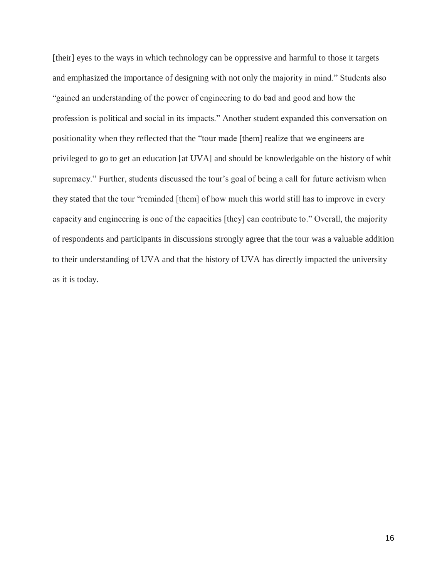[their] eyes to the ways in which technology can be oppressive and harmful to those it targets and emphasized the importance of designing with not only the majority in mind." Students also "gained an understanding of the power of engineering to do bad and good and how the profession is political and social in its impacts." Another student expanded this conversation on positionality when they reflected that the "tour made [them] realize that we engineers are privileged to go to get an education [at UVA] and should be knowledgable on the history of whit supremacy." Further, students discussed the tour's goal of being a call for future activism when they stated that the tour "reminded [them] of how much this world still has to improve in every capacity and engineering is one of the capacities [they] can contribute to." Overall, the majority of respondents and participants in discussions strongly agree that the tour was a valuable addition to their understanding of UVA and that the history of UVA has directly impacted the university as it is today.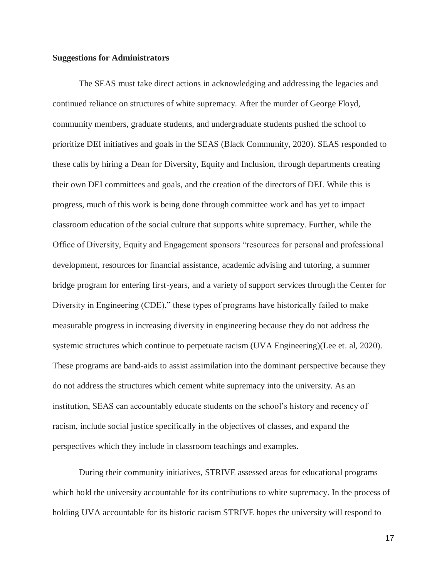#### **Suggestions for Administrators**

The SEAS must take direct actions in acknowledging and addressing the legacies and continued reliance on structures of white supremacy. After the murder of George Floyd, community members, graduate students, and undergraduate students pushed the school to prioritize DEI initiatives and goals in the SEAS (Black Community, 2020). SEAS responded to these calls by hiring a Dean for Diversity, Equity and Inclusion, through departments creating their own DEI committees and goals, and the creation of the directors of DEI. While this is progress, much of this work is being done through committee work and has yet to impact classroom education of the social culture that supports white supremacy. Further, while the Office of Diversity, Equity and Engagement sponsors "resources for personal and professional development, resources for financial assistance, academic advising and tutoring, a summer bridge program for entering first-years, and a variety of support services through the Center for Diversity in Engineering (CDE)," these types of programs have historically failed to make measurable progress in increasing diversity in engineering because they do not address the systemic structures which continue to perpetuate racism (UVA Engineering)(Lee et. al, 2020). These programs are band-aids to assist assimilation into the dominant perspective because they do not address the structures which cement white supremacy into the university. As an institution, SEAS can accountably educate students on the school's history and recency of racism, include social justice specifically in the objectives of classes, and expand the perspectives which they include in classroom teachings and examples.

During their community initiatives, STRIVE assessed areas for educational programs which hold the university accountable for its contributions to white supremacy. In the process of holding UVA accountable for its historic racism STRIVE hopes the university will respond to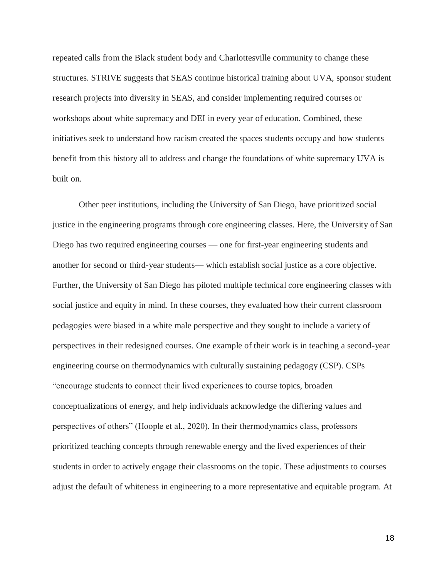repeated calls from the Black student body and Charlottesville community to change these structures. STRIVE suggests that SEAS continue historical training about UVA, sponsor student research projects into diversity in SEAS, and consider implementing required courses or workshops about white supremacy and DEI in every year of education. Combined, these initiatives seek to understand how racism created the spaces students occupy and how students benefit from this history all to address and change the foundations of white supremacy UVA is built on.

Other peer institutions, including the University of San Diego, have prioritized social justice in the engineering programs through core engineering classes. Here, the University of San Diego has two required engineering courses — one for first-year engineering students and another for second or third-year students— which establish social justice as a core objective. Further, the University of San Diego has piloted multiple technical core engineering classes with social justice and equity in mind. In these courses, they evaluated how their current classroom pedagogies were biased in a white male perspective and they sought to include a variety of perspectives in their redesigned courses. One example of their work is in teaching a second-year engineering course on thermodynamics with culturally sustaining pedagogy (CSP). CSPs "encourage students to connect their lived experiences to course topics, broaden conceptualizations of energy, and help individuals acknowledge the differing values and perspectives of others" (Hoople et al., 2020). In their thermodynamics class, professors prioritized teaching concepts through renewable energy and the lived experiences of their students in order to actively engage their classrooms on the topic. These adjustments to courses adjust the default of whiteness in engineering to a more representative and equitable program. At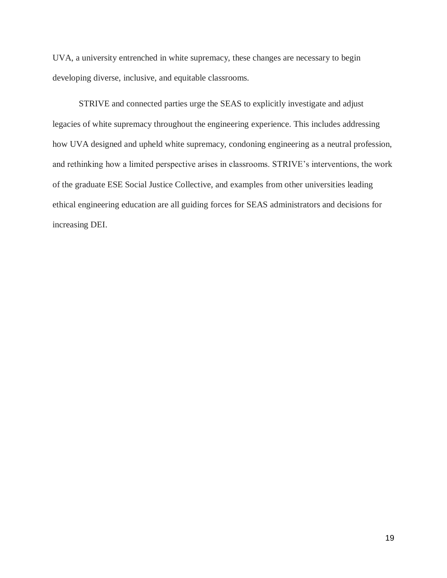UVA, a university entrenched in white supremacy, these changes are necessary to begin developing diverse, inclusive, and equitable classrooms.

STRIVE and connected parties urge the SEAS to explicitly investigate and adjust legacies of white supremacy throughout the engineering experience. This includes addressing how UVA designed and upheld white supremacy, condoning engineering as a neutral profession, and rethinking how a limited perspective arises in classrooms. STRIVE's interventions, the work of the graduate ESE Social Justice Collective, and examples from other universities leading ethical engineering education are all guiding forces for SEAS administrators and decisions for increasing DEI.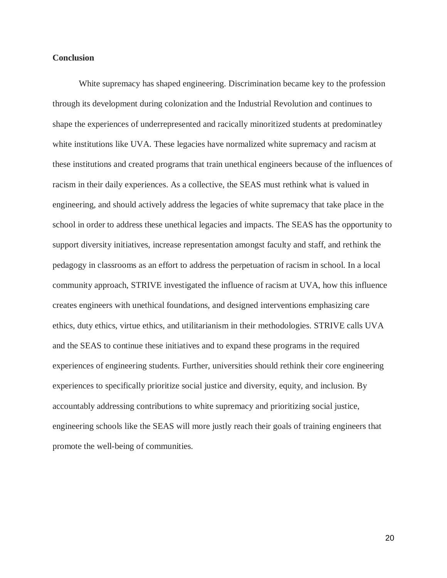### **Conclusion**

White supremacy has shaped engineering. Discrimination became key to the profession through its development during colonization and the Industrial Revolution and continues to shape the experiences of underrepresented and racically minoritized students at predominatley white institutions like UVA. These legacies have normalized white supremacy and racism at these institutions and created programs that train unethical engineers because of the influences of racism in their daily experiences. As a collective, the SEAS must rethink what is valued in engineering, and should actively address the legacies of white supremacy that take place in the school in order to address these unethical legacies and impacts. The SEAS has the opportunity to support diversity initiatives, increase representation amongst faculty and staff, and rethink the pedagogy in classrooms as an effort to address the perpetuation of racism in school. In a local community approach, STRIVE investigated the influence of racism at UVA, how this influence creates engineers with unethical foundations, and designed interventions emphasizing care ethics, duty ethics, virtue ethics, and utilitarianism in their methodologies. STRIVE calls UVA and the SEAS to continue these initiatives and to expand these programs in the required experiences of engineering students. Further, universities should rethink their core engineering experiences to specifically prioritize social justice and diversity, equity, and inclusion. By accountably addressing contributions to white supremacy and prioritizing social justice, engineering schools like the SEAS will more justly reach their goals of training engineers that promote the well-being of communities.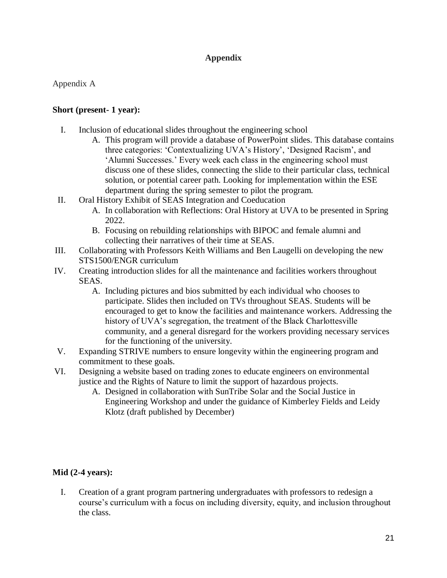## **Appendix**

### Appendix A

### **Short (present- 1 year):**

- I. Inclusion of educational slides throughout the engineering school
	- A. This program will provide a database of PowerPoint slides. This database contains three categories: 'Contextualizing UVA's History', 'Designed Racism', and 'Alumni Successes.' Every week each class in the engineering school must discuss one of these slides, connecting the slide to their particular class, technical solution, or potential career path. Looking for implementation within the ESE department during the spring semester to pilot the program.
- II. Oral History Exhibit of SEAS Integration and Coeducation
	- A. In collaboration with Reflections: Oral History at UVA to be presented in Spring 2022.
	- B. Focusing on rebuilding relationships with BIPOC and female alumni and collecting their narratives of their time at SEAS.
- III. Collaborating with Professors Keith Williams and Ben Laugelli on developing the new STS1500/ENGR curriculum
- IV. Creating introduction slides for all the maintenance and facilities workers throughout SEAS.
	- A. Including pictures and bios submitted by each individual who chooses to participate. Slides then included on TVs throughout SEAS. Students will be encouraged to get to know the facilities and maintenance workers. Addressing the history of UVA's segregation, the treatment of the Black Charlottesville community, and a general disregard for the workers providing necessary services for the functioning of the university.
- V. Expanding STRIVE numbers to ensure longevity within the engineering program and commitment to these goals.
- VI. Designing a website based on trading zones to educate engineers on environmental justice and the Rights of Nature to limit the support of hazardous projects.
	- A. Designed in collaboration with SunTribe Solar and the Social Justice in Engineering Workshop and under the guidance of Kimberley Fields and Leidy Klotz (draft published by December)

## **Mid (2-4 years):**

I. Creation of a grant program partnering undergraduates with professors to redesign a course's curriculum with a focus on including diversity, equity, and inclusion throughout the class.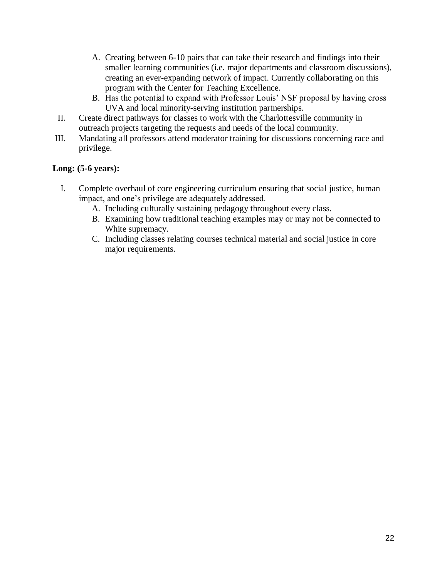- A. Creating between 6-10 pairs that can take their research and findings into their smaller learning communities (i.e. major departments and classroom discussions), creating an ever-expanding network of impact. Currently collaborating on this program with the Center for Teaching Excellence.
- B. Has the potential to expand with Professor Louis' NSF proposal by having cross UVA and local minority-serving institution partnerships.
- II. Create direct pathways for classes to work with the Charlottesville community in outreach projects targeting the requests and needs of the local community.
- III. Mandating all professors attend moderator training for discussions concerning race and privilege.

## **Long: (5-6 years):**

- I. Complete overhaul of core engineering curriculum ensuring that social justice, human impact, and one's privilege are adequately addressed.
	- A. Including culturally sustaining pedagogy throughout every class.
	- B. Examining how traditional teaching examples may or may not be connected to White supremacy.
	- C. Including classes relating courses technical material and social justice in core major requirements.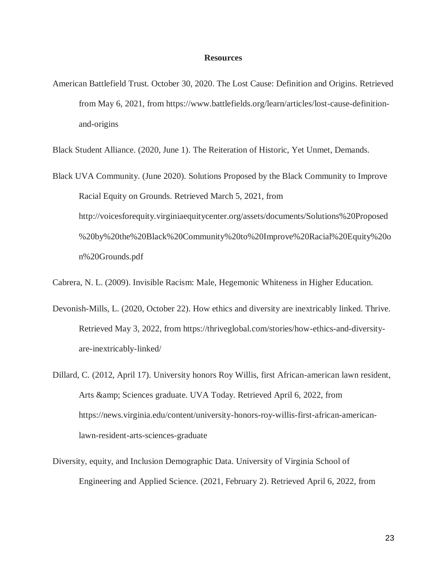### **Resources**

American Battlefield Trust. October 30, 2020. The Lost Cause: Definition and Origins. Retrieved from May 6, 2021, from https://www.battlefields.org/learn/articles/lost-cause-definitionand-origins

Black Student Alliance. (2020, June 1). The Reiteration of Historic, Yet Unmet, Demands.

Black UVA Community. (June 2020). Solutions Proposed by the Black Community to Improve Racial Equity on Grounds. Retrieved March 5, 2021, from http://voicesforequity.virginiaequitycenter.org/assets/documents/Solutions%20Proposed %20by%20the%20Black%20Community%20to%20Improve%20Racial%20Equity%20o n%20Grounds.pdf

Cabrera, N. L. (2009). Invisible Racism: Male, Hegemonic Whiteness in Higher Education.

- Devonish-Mills, L. (2020, October 22). How ethics and diversity are inextricably linked. Thrive. Retrieved May 3, 2022, from https://thriveglobal.com/stories/how-ethics-and-diversityare-inextricably-linked/
- Dillard, C. (2012, April 17). University honors Roy Willis, first African-american lawn resident, Arts & amp; Sciences graduate. UVA Today. Retrieved April 6, 2022, from https://news.virginia.edu/content/university-honors-roy-willis-first-african-americanlawn-resident-arts-sciences-graduate
- Diversity, equity, and Inclusion Demographic Data. University of Virginia School of Engineering and Applied Science. (2021, February 2). Retrieved April 6, 2022, from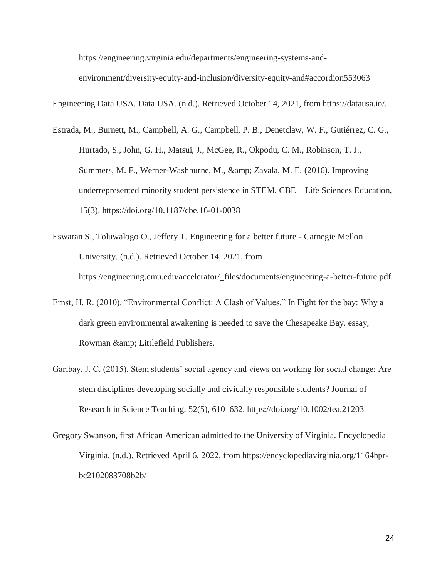https://engineering.virginia.edu/departments/engineering-systems-andenvironment/diversity-equity-and-inclusion/diversity-equity-and#accordion553063

Engineering Data USA. Data USA. (n.d.). Retrieved October 14, 2021, from https://datausa.io/.

- Estrada, M., Burnett, M., Campbell, A. G., Campbell, P. B., Denetclaw, W. F., Gutiérrez, C. G., Hurtado, S., John, G. H., Matsui, J., McGee, R., Okpodu, C. M., Robinson, T. J., Summers, M. F., Werner-Washburne, M., & Zavala, M. E. (2016). Improving underrepresented minority student persistence in STEM. CBE—Life Sciences Education, 15(3). https://doi.org/10.1187/cbe.16-01-0038
- Eswaran S., Toluwalogo O., Jeffery T. Engineering for a better future Carnegie Mellon University. (n.d.). Retrieved October 14, 2021, from https://engineering.cmu.edu/accelerator/\_files/documents/engineering-a-better-future.pdf.
- Ernst, H. R. (2010). "Environmental Conflict: A Clash of Values." In Fight for the bay: Why a dark green environmental awakening is needed to save the Chesapeake Bay. essay, Rowman & amp; Littlefield Publishers.
- Garibay, J. C. (2015). Stem students' social agency and views on working for social change: Are stem disciplines developing socially and civically responsible students? Journal of Research in Science Teaching, 52(5), 610–632. https://doi.org/10.1002/tea.21203
- Gregory Swanson, first African American admitted to the University of Virginia. Encyclopedia Virginia. (n.d.). Retrieved April 6, 2022, from https://encyclopediavirginia.org/1164hprbc2102083708b2b/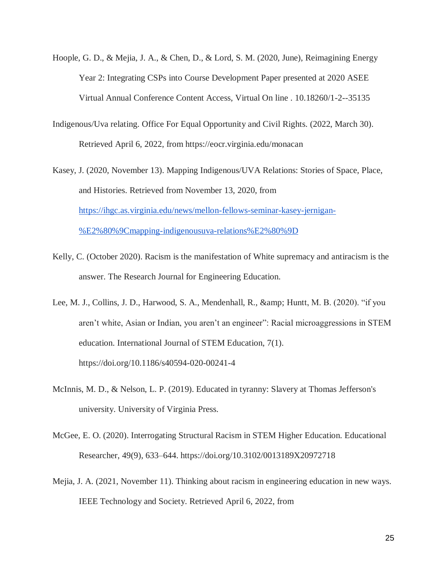- Hoople, G. D., & Mejia, J. A., & Chen, D., & Lord, S. M. (2020, June), Reimagining Energy Year 2: Integrating CSPs into Course Development Paper presented at 2020 ASEE Virtual Annual Conference Content Access, Virtual On line . 10.18260/1-2--35135
- Indigenous/Uva relating. Office For Equal Opportunity and Civil Rights. (2022, March 30). Retrieved April 6, 2022, from https://eocr.virginia.edu/monacan
- Kasey, J. (2020, November 13). Mapping Indigenous/UVA Relations: Stories of Space, Place, and Histories. Retrieved from November 13, 2020, from [https://ihgc.as.virginia.edu/news/mellon-fellows-seminar-kasey-jernigan-](https://ihgc.as.virginia.edu/news/mellon-fellows-seminar-kasey-jernigan-%E2%80%9Cmapping-indigenousuva-relations%E2%80%9D) [%E2%80%9Cmapping-indigenousuva-relations%E2%80%9D](https://ihgc.as.virginia.edu/news/mellon-fellows-seminar-kasey-jernigan-%E2%80%9Cmapping-indigenousuva-relations%E2%80%9D)
- Kelly, C. (October 2020). Racism is the manifestation of White supremacy and antiracism is the answer. The Research Journal for Engineering Education.
- Lee, M. J., Collins, J. D., Harwood, S. A., Mendenhall, R., & amp; Huntt, M. B. (2020). "if you aren't white, Asian or Indian, you aren't an engineer": Racial microaggressions in STEM education. International Journal of STEM Education, 7(1). https://doi.org/10.1186/s40594-020-00241-4
- McInnis, M. D., & Nelson, L. P. (2019). Educated in tyranny: Slavery at Thomas Jefferson's university. University of Virginia Press.
- McGee, E. O. (2020). Interrogating Structural Racism in STEM Higher Education. Educational Researcher, 49(9), 633–644. https://doi.org/10.3102/0013189X20972718
- Mejia, J. A. (2021, November 11). Thinking about racism in engineering education in new ways. IEEE Technology and Society. Retrieved April 6, 2022, from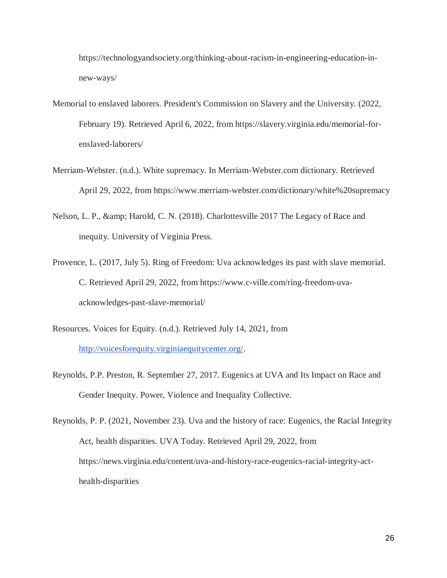https://technologyandsociety.org/thinking-about-racism-in-engineering-education-innew-ways/

- Memorial to enslaved laborers. President's Commission on Slavery and the University. (2022, February 19). Retrieved April 6, 2022, from https://slavery.virginia.edu/memorial-forenslaved-laborers/
- Merriam-Webster. (n.d.). White supremacy. In Merriam-Webster.com dictionary. Retrieved April 29, 2022, from https://www.merriam-webster.com/dictionary/white%20supremacy
- Nelson, L. P., & amp; Harold, C. N. (2018). Charlottesville 2017 The Legacy of Race and inequity. University of Virginia Press.
- Provence, L. (2017, July 5). Ring of Freedom: Uva acknowledges its past with slave memorial. C. Retrieved April 29, 2022, from https://www.c-ville.com/ring-freedom-uvaacknowledges-past-slave-memorial/
- Resources. Voices for Equity. (n.d.). Retrieved July 14, 2021, from [http://voicesforequity.virginiaequitycenter.org/.](http://voicesforequity.virginiaequitycenter.org/)
- Reynolds, P.P. Preston, R. September 27, 2017. Eugenics at UVA and Its Impact on Race and Gender Inequity. Power, Violence and Inequality Collective.

Reynolds, P. P. (2021, November 23). Uva and the history of race: Eugenics, the Racial Integrity Act, health disparities. UVA Today. Retrieved April 29, 2022, from https://news.virginia.edu/content/uva-and-history-race-eugenics-racial-integrity-acthealth-disparities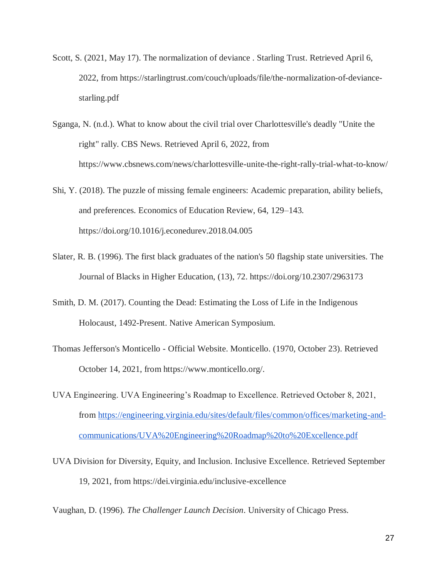- Scott, S. (2021, May 17). The normalization of deviance . Starling Trust. Retrieved April 6, 2022, from https://starlingtrust.com/couch/uploads/file/the-normalization-of-deviancestarling.pdf
- Sganga, N. (n.d.). What to know about the civil trial over Charlottesville's deadly "Unite the right" rally. CBS News. Retrieved April 6, 2022, from https://www.cbsnews.com/news/charlottesville-unite-the-right-rally-trial-what-to-know/
- Shi, Y. (2018). The puzzle of missing female engineers: Academic preparation, ability beliefs, and preferences. Economics of Education Review, 64, 129–143. https://doi.org/10.1016/j.econedurev.2018.04.005
- Slater, R. B. (1996). The first black graduates of the nation's 50 flagship state universities. The Journal of Blacks in Higher Education, (13), 72. https://doi.org/10.2307/2963173
- Smith, D. M. (2017). Counting the Dead: Estimating the Loss of Life in the Indigenous Holocaust, 1492-Present. Native American Symposium.
- Thomas Jefferson's Monticello Official Website. Monticello. (1970, October 23). Retrieved October 14, 2021, from https://www.monticello.org/.
- UVA Engineering. UVA Engineering's Roadmap to Excellence. Retrieved October 8, 2021, from [https://engineering.virginia.edu/sites/default/files/common/offices/marketing-and](https://engineering.virginia.edu/sites/default/files/common/offices/marketing-and-communications/UVA%20Engineering%20Roadmap%20to%20Excellence.pdf)[communications/UVA%20Engineering%20Roadmap%20to%20Excellence.pdf](https://engineering.virginia.edu/sites/default/files/common/offices/marketing-and-communications/UVA%20Engineering%20Roadmap%20to%20Excellence.pdf)
- UVA Division for Diversity, Equity, and Inclusion. Inclusive Excellence. Retrieved September 19, 2021, from https://dei.virginia.edu/inclusive-excellence

Vaughan, D. (1996). *The Challenger Launch Decision*. University of Chicago Press.